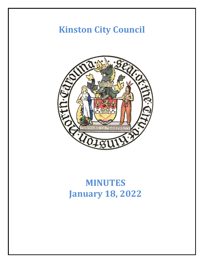# **Kinston City Council**



# **MINUTES January 18, 2022**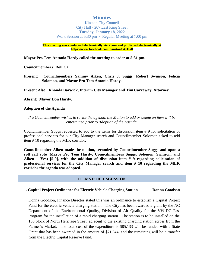## **Minutes**

Kinston City Council City Hall · 207 East King Street **Tuesday, January 18, 2022** Work Session at 5:30 pm · Regular Meeting at 7:00 pm

**This meeting was conducted electronically via Zoom and published electronically at https://www.facebook.com/KinstonCityHall**

**Mayor Pro Tem Antonio Hardy called the meeting to order at 5:31 pm.**

**Councilmembers' Roll Call**

**Present: Councilmembers Sammy Aiken, Chris J. Suggs, Robert Swinson, Felicia Solomon, and Mayor Pro Tem Antonio Hardy.**

**Present Also: Rhonda Barwick, Interim City Manager and Tim Carraway, Attorney.**

#### **Absent: Mayor Don Hardy.**

#### **Adoption of the Agenda**

#### *If a Councilmember wishes to revise the agenda, the Motion to add or delete an item will be entertained prior to Adoption of the Agenda.*

Councilmember Suggs requested to add to the items for discussion item # 9 for solicitation of professional services for our City Manager search and Councilmember Solomon asked to add item # 10 regarding the MLK corridor.

**Councilmember Aiken made the motion, seconded by Councilmember Suggs and upon a roll call vote (Mayor Pro Tem Hardy, Councilmembers Suggs, Solomon, Swinson, and Aiken – Yes) [5-0], with the addition of discussion item # 9 regarding solicitation of professional services for the City Manager search and item # 10 regarding the MLK corridor the agenda was adopted.**

#### **ITEMS FOR DISCUSSION**

#### **1. Capital Project Ordinance for Electric Vehicle Charging Station ---------- Donna Goodson**

Donna Goodson, Finance Director stated this was an ordinance to establish a Capital Project Fund for the electric vehicle charging station. The City has been awarded a grant by the NC Department of the Environmental Quality, Division of Air Quality for the VW-DC Fast Program for the installation of a rapid charging station. The station is to be installed on the 100 block of North Herritage Street, adjacent to the existing charging station across from the Farmer's Market. The total cost of the expenditure is \$85,133 will be funded with a State Grant that has been awarded in the amount of \$71,344, and the remaining will be a transfer from the Electric Capital Reserve Fund.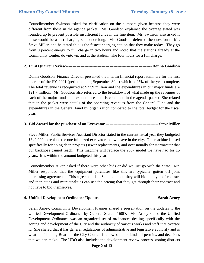Councilmember Swinson asked for clarification on the numbers given because they were different from those in the agenda packet. Ms. Goodson explained the overage stated was rounded up to prevent possible insufficient funds in the line item. Mr. Swinson also asked if these would be a fast-charging station or long. Ms. Goodson deferred the question to Mr. Steve Miller, and he stated this is the fastest charging station that they make today. They go from 0 percent energy to full charge in two hours and noted that the stations already at the Community Center, downtown, and at the stadium take four hours for a full charge.

## **2. First Quarter Review----------------------------------------------------------------- Donna Goodson**

Donna Goodson, Finance Director presented the interim financial report summary for the first quarter of the FY 2021 (period ending September 30th) which is 25% of the year complete. The total revenue is recognized at \$22.9 million and the expenditures in our major funds are \$21.7 million. Ms. Goodson also referred to the breakdown of what made up the revenues of each of the major funds and expenditures that is contained in the agenda packet. She related that in the packet were details of the operating revenues from the General Fund and the expenditures in the General Fund by organization compared to the total budget for the fiscal year.

## **3. Bid Award for the purchase of an Excavator ---------------------------------------- Steve Miller**

Steve Miller, Public Services Assistant Director stated in the current fiscal year they budgeted \$340,000 to replace the one full-sized excavator that we have in the city. The machine is used specifically for doing deep projects (sewer replacements) and occasionally for stormwater that our backhoes cannot reach. This machine will replace the 2007 model we have had for 15 years. It is within the amount budgeted this year.

Councilmember Aiken asked if there were other bids or did we just go with the State. Mr. Miller responded that the equipment purchases like this are typically gotten off joint purchasing agreements. This agreement is a State contract; they will bid this type of contract and then cities and municipalities can use the pricing that they get through their contract and not have to bid themselves.

## **4. Unified Development Ordinance Updates ------------------------------------------- Sarah Arney**

Sarah Arney, Community Development Planner shared a presentation on the updates to the Unified Development Ordinance by General Statute 160D. Ms. Arney stated the Unified Development Ordinance was an organized set of ordinances dealing specifically with the zoning and development of the City and the authority of various works and staff that oversee it. She shared that it has general regulations of administrative and legislative authority and is what the Planning Board or the City Council is allowed to do, kinds of permits, and decisions that we can make. The UDO also includes the development review process, zoning districts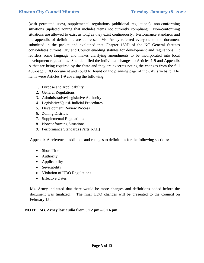(with permitted uses), supplemental regulations (additional regulations), non-conforming situations (updated zoning that includes items not currently compliant). Non-conforming situations are allowed to exist as long as they exist continuously. Performance standards and the appendix of definitions are addressed, Ms. Arney referred everyone to the document submitted in the packet and explained that Chapter 160D of the NC General Statutes consolidates current City and County enabling statutes for development and regulations. It reorders some language and makes clarifying amendments to be incorporated into local development regulations. She identified the individual changes to Articles 1-9 and Appendix A that are being required by the State and they are excerpts noting the changes from the full 400-page UDO document and could be found on the planning page of the City's website. The items were Articles 1-9 covering the following:

- 1. Purpose and Applicability
- 2. General Regulations
- 3. Administrative/Legislative Authority
- 4. Legislative/Quasi-Judicial Procedures
- 5. Development Review Process
- 6. Zoning Districts
- 7. Supplemental Regulations
- 8. Nonconforming Situations
- 9. Performance Standards (Parts I-XII)

Appendix A referenced additions and changes to definitions for the following sections:

- Short Title
- Authority
- Applicability
- Severability
- Violation of UDO Regulations
- Effective Dates

Ms. Arney indicated that there would be more changes and definitions added before the document was finalized. The final UDO changes will be presented to the Council on February 15th.

## **NOTE: Ms. Arney lost audio from 6:12 pm – 6:16 pm.**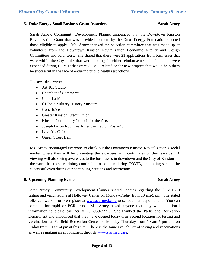### **5. Duke Energy Small Business Grant Awardees ------------------------------------- Sarah Arney**

Sarah Arney, Community Development Planner announced that the Downtown Kinston Revitalization Grant that was provided to them by the Duke Energy Foundation selected those eligible to apply. Ms. Arney thanked the selection committee that was made up of volunteers from the Downtown Kinston Revitalization Economic Vitality and Design Committees and volunteers. She shared that there were 21 applications from businesses that were within the City limits that were looking for either reimbursement for funds that were expended during COVID that were COVID related or for new projects that would help them be successful in the face of enduring public health restrictions.

The awardees were:

- Art 105 Studio
- Chamber of Commerce
- Cheri La Mode
- GI Joe's Military History Museum
- Gone Juice
- Greater Kinston Credit Union
- Kinston Community Council for the Arts
- Joseph Dixon Rountree American Legion Post #43
- Lovick's Café
- Oueen Street Deli

Ms. Arney encouraged everyone to check out the Downtown Kinston Revitalization's social media, where they will be presenting the awardees with certificates of their awards. A viewing will also bring awareness to the businesses in downtown and the City of Kinston for the work that they are doing, continuing to be open during COVID, and taking steps to be successful even during our continuing cautions and restrictions.

#### **6. Upcoming Planning Events ------------------------------------------------------------- Sarah Arney**

Sarah Arney, Community Development Planner shared updates regarding the COVID-19 testing and vaccinations at Holloway Center on Monday-Friday from 10 am-5 pm. She stated folks can walk in or pre-register at [www.starmed.care](http://www.starmed.care/) to schedule an appointment. You can come in for rapid or PCR tests. Ms. Arney asked anyone that may want additional information to please call her at 252-939-3271. She thanked the Parks and Recreation Department and announced that they have opened today their second location for testing and vaccinations at Fairfield Recreation Center on Monday-Thursday from 10 am-5 pm and on Friday from 10 am-4 pm at this site. There is the same availability of testing and vaccinations as well as making an appointment through [www.starmed.care.](http://www.starmed.care/)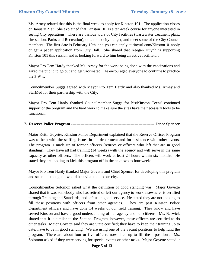Ms. Arney related that this is the final week to apply for Kinston 101. The application closes on January 21st. She explained that Kinston 101 is a ten-week course for anyone interested in seeing City operations. There are various tours of City facilities (wastewater treatment plant, fire station, Parks and Recreation), do a mock city budget, and meet some of the City Council members. The first date is February 10th, and you can apply at tinyurl.com/Kinston101apply or get a paper application from City Hall. She shared that Keegan Huynh is supporting Kinston 101 this session and is looking forward to him being an active facilitator.

Mayor Pro Tem Hardy thanked Ms. Arney for the work being done with the vaccinations and asked the public to go out and get vaccinated. He encouraged everyone to continue to practice the 3 W's.

Councilmember Suggs agreed with Mayor Pro Tem Hardy and also thanked Ms. Arney and StarMed for their partnership with the City.

Mayor Pro Tem Hardy thanked Councilmember Suggs for his/Kinston Teens' continued support of the program and the hard work to make sure the sites have the necessary tools to be functional.

## **7. Reserve Police Program --------------------------------------------------------------- Jenee Spencer**

Major Keith Goyette, Kinston Police Department explained that the Reserve Officer Program was to help with the staffing issues in the department and for assistance with other events. The program is made up of former officers (retirees or officers who left that are in good standing). They have all had training (14 weeks) with the agency and will serve in the same capacity as other officers. The officers will work at least 24 hours within six months. He stated they are looking to kick this program off in the next two to four weeks.

Mayor Pro Tem Hardy thanked Major Goyette and Chief Spencer for developing this program and stated he thought it would be a vital tool to our city.

Councilmember Solomon asked what the definition of good standing was. Major Goyette shared that it was somebody who has retired or left our agency to work elsewhere, is certified through Training and Standards, and left us in good service. He stated they are not looking to fill these positions with officers from other agencies. They are past Kinston Police Department officers and have done 14 weeks of our field training. They know and have served Kinston and have a good understanding of our agency and our citizens. Ms. Barwick shared that it is similar to the Sentinel Program, however, these officers are certified to do other tasks. Major Goyette said they are State certified; they have to keep their training up to date, have to be in good standing. We are using one of the vacant positions to help fund the program. There are about four or five officers now lined up to fill these positions. Ms. Solomon asked if they were serving for special events or other tasks. Major Goyette stated it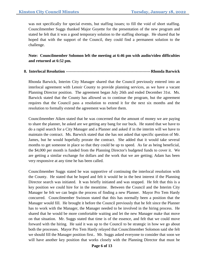was not specifically for special events, but staffing issues; to fill the void of short staffing. Councilmember Suggs thanked Major Goyette for the presentation of the new program and stated he felt that it was a good temporary solution to the staffing shortage. He shared that he hoped that with the support of the Council, they could find a permanent solution to the challenge.

**Note: Councilmember Solomon left the meeting at 6:46 pm with audio/video difficulties and returned at 6:52 pm.**

### **8. Interlocal Resolution ----------------------------------------------------------------Rhonda Barwick**

Rhonda Barwick, Interim City Manager shared that the Council previously entered into an interlocal agreement with Lenoir County to provide planning services, as we have a vacant Planning Director position. The agreement began July 26th and ended December 31st. Ms. Barwick stated that the County has allowed us to continue the program, but the agreement requires that the Council pass a resolution to extend it for the next six months and the resolution to formally extend the agreement was before them.

Councilmember Aiken stated that he was concerned that the amount of money we are paying to share the planner, he asked are we getting any bang for our buck. He stated that we have to do a rapid search for a City Manager and a Planner and asked if in the interim will we have to maintain the contract. Ms. Barwick stated that she has not asked that specific question of Mr. James, but he would hopefully prorate the contract. She added that it would take several months to get someone in place so that they could be up to speed. As far as being beneficial, the \$4,000 per month is funded from the Planning Director's budgeted funds to cover it. We are getting a similar exchange for dollars and the work that we are getting; Adam has been very responsive at any time he has been called.

Councilmember Suggs stated he was supportive of continuing the interlocal resolution with the County. He stated that he hoped and felt it would be in the best interest if the Planning Director search was initiated. It was briefly initiated and was stopped. He felt that this is a key position we could hire for in the meantime. Between the Council and the Interim City Manager he felt we can begin the process of finding a new Planner. Mayor Pro Tem Hardy concurred. Councilmember Swinson stated that this has normally been a position that the Manager would fill. He brought it before the Council previously that he felt since the Planner has to work with the Manager, the Manager needed to be involved in the hiring process. He shared that he would be more comfortable waiting and let the new Manager make that move on that situation. Mr. Suggs stated that time is of the essence, and felt that we could move forward with the hiring. He said it was up to the Council to be strategic in how we go about both the processes. Mayor Pro Tem Hardy relayed that Councilmember Solomon said she felt we should fill the Manager position first.. Mr. Suggs asked everyone to consider that soon we will have another key position that works closely with the Planning Director that must be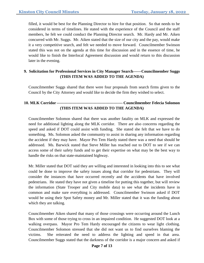filled, it would be best for the Planning Director to hire for that position. So that needs to be considered in terms of timelines. He stated with the experience of the Council and the staff members, he felt we could conduct the Planning Director search. Mr. Hardy and Mr. Aiken concurred with Mr. Suggs. Mr. Aiken stated that the size of our city and the pay, would make it a very competitive search, and felt we needed to move forward. Councilmember Swinson stated this was not on the agenda at this time for discussion and in the essence of time, he would like to finish the Interlocal Agreement discussion and would return to this discussion later in the evening.

## **9. Solicitation for Professional Services in City Manager Search------Councilmember Suggs (THIS ITEM WAS ADDED TO THE AGENDA)**

Councilmember Suggs shared that there were four proposals from search firms given to the Council by the City Attorney and would like to decide the firm they wished to select.

## **10. MLK Corridor -------------------------------------------------- Councilmember Felecia Solomon (THIS ITEM WAS ADDED TO THE AGENDA)**

Councilmember Solomon shared that there was another fatality on MLK and expressed the need for additional lighting along the MLK corridor. There are also concerns regarding the speed and asked if DOT could assist with funding. She stated she felt that we have to do something. Ms. Solomon asked the community to assist in sharing any information regarding the accident if they may have. Mayor Pro Tem Hardy stated there was a need that should be addressed. Ms. Barwick stated that Steve Miller has reached out to DOT to see if we can access some of their safety funds and to get their expertise on what may be the best way to handle the risks on that state-maintained highway.

Mr. Miller stated that DOT said they are willing and interested in looking into this to see what could be done to improve the safety issues along that corridor for pedestrians. They will consider the instances that have occurred recently and the accidents that have involved pedestrians. He stated they have not given a timeline for putting this together, but will review the information (State Trooper and City mobile data) to see what the incidents have in common and make sure everything is addressed. Councilmember Swinson asked if DOT would be using their Spot Safety money and Mr. Miller stated that it was the funding about which they are talking.

Councilmember Aiken shared that many of those crossings were occurring around the Lunch Box with some of those trying to cross in an impaired condition. He suggested DOT look at a walking overpass. Mayor Pro Tem Hardy encouraged the citizens to wear light clothing. Councilmember Solomon stressed that she did not want us to find ourselves blaming the victims. She reiterated the need to address the lighting and speed in that area. Councilmember Suggs stated that the darkness of the corridor is a major concern and asked if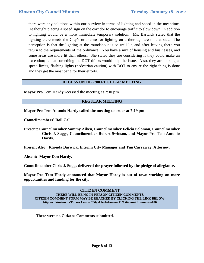there were any solutions within our purview in terms of lighting and speed in the meantime. He thought placing a speed sign on the corridor to encourage traffic to slow down, in addition to lighting would be a more immediate temporary solution. Ms. Barwick stated that the lighting there meets the City's ordinance for lighting on a thoroughfare of that size. The perception is that the lighting at the roundabout is so well lit, and after leaving there you return to the requirements of the ordinance. You have a mix of housing and businesses, and some areas are more lit than others. She stated they are considering if they could make an exception; is that something the DOT thinks would help the issue. Also, they are looking at speed limits, flashing lights (pedestrian caution) with DOT to ensure the right thing is done and they get the most bang for their efforts.

#### **RECESS UNTIL 7:00 REGULAR MEETING**

**Mayor Pro Tem Hardy recessed the meeting at 7:10 pm.**

#### **REGULAR MEETING**

**Mayor Pro Tem Antonio Hardy called the meeting to order at 7:19 pm**

**Councilmembers' Roll Call**

**Present: Councilmember Sammy Aiken, Councilmember Felicia Solomon, Councilmember Chris J. Suggs, Councilmember Robert Swinson, and Mayor Pro Tem Antonio Hardy.**

**Present Also: Rhonda Barwick, Interim City Manager and Tim Carraway, Attorney.**

**Absent: Mayor Don Hardy.**

**Councilmember Chris J. Suggs delivered the prayer followed by the pledge of allegiance.**

**Mayor Pro Tem Hardy announced that Mayor Hardy is out of town working on more opportunities and funding for the city.**

**CITIZEN COMMENT THERE WILL BE NO IN-PERSON CITIZEN COMMENTS. CITIZEN COMMENT FORM MAY BE REACHED BY CLICKING THE LINK BELOW**: **http://ci.kinston.us/Forms Center/City-Clerk-Forms-11/Citizens-Comments-106**

**There were no Citizens Comments submitted.**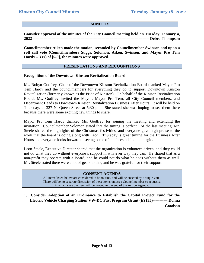#### **MINUTES**

**Consider approval of the minutes of the City Council meeting held on Tuesday, January 4, 2022 ---------------------------------------------------------------------------------------- Debra Thompson**

**Councilmember Aiken made the motion, seconded by Councilmember Swinson and upon a roll call vote (Councilmembers Suggs, Solomon, Aiken, Swinson, and Mayor Pro Tem Hardy – Yes) of [5-0], the minutes were approved.**

#### **PRESENTATIONS AND RECOGNITIONS**

#### **Recognition of the Downtown Kinston Revitalization Board**

Ms. Robyn Godfrey, Chair of the Downtown Kinston Revitalization Board thanked Mayor Pro Tem Hardy and the councilmembers for everything they do to support Downtown Kinston Revitalization (formerly known as the Pride of Kinston). On behalf of the Kinston Revitalization Board, Ms. Godfrey invited the Mayor, Mayor Pro Tem, all City Council members, and Department Heads to Downtown Kinston Revitalization Business After Hours. It will be held on Thursday, at 327 N. Queen Street at 5:30 pm. She stated she was hoping to see them there because there were some exciting new things to share.

Mayor Pro Tem Hardy thanked Ms. Godfrey for joining the meeting and extending the invitation. Councilmember Solomon stated that the timing is perfect. At the last meeting, Mr. Steele shared the highlights of the Christmas festivities, and everyone gave high praise to the work that the board is doing along with Leon. Thursday is great timing for the Business After Hours and everyone looks forward to seeing some of the faces behind the magic.

Leon Steele, Executive Director shared that the organization is volunteer-driven, and they could not do what they do without everyone's support in whatever way they can. He shared that as a non-profit they operate with a Board, and he could not do what he does without them as well. Mr. Steele stated there were a lot of gears to this, and he was grateful for their support.

#### **CONSENT AGENDA**

All items listed below are considered to be routine, and will be enacted by a single vote. There will be no separate discussion of these items unless a Councilmember so requests, in which case the item will be moved to the end of the Action Agenda.

**1. Consider Adoption of an Ordinance to Establish the Capital Project Fund for the Electric Vehicle Charging Station VW-DC Fast Program Grant (E9135)----------- Donna Goodson**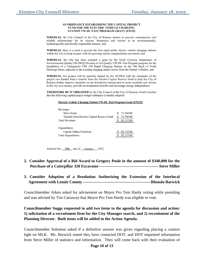#### AN ORDINANCE ESTABLISHING THE CAPITAL PROJECT FUND FOR THE ELECTRIC VEHICLE CHARGING STATION VW-DC FAST PROGRAM GRANT (E9135)

WHEREAS, the City Council of the City of Kinston desires to provide contemporary and reliable infrastructure for its citizens, businesses and visitors in an environmentally, technologically and fiscally responsible manner, and

WHEREAS, there is a need to provide the first rapid public electric vehicle charging stations within the City to keep on pace with the growing electric transportation movement, and

WHEREAS, the City has been awarded a grant by the North Carolina Department of Environmental Quality (NCDEQ) Division of Air Quality VW-DC Fast Program program for the installation of a Chargepoint CPE 250 Rapid Charging Station, on the 100 block of North Herritage Street, adjacent to the existing charging station across from the Farmer's Market, and

WHEREAS, this project will be partially funded by the NCDEQ with the remainder of the project cost funded from a transfer from the Electric Capital Reserve Fund to help the City of Kinston further improve amenities in our downtown tourism area to assist residents and visitors to the city save money, provide environmental benefits and encourage energy independence.

**THEREFORE BE IT ORDAINED** by the City Council of the City of Kinston, North Carolina that the following capital project budget ordinance is hereby adopted:

#### **Electric Vehicle Charging Station VW-DC Fast Program Grant (E9135)**

| Revenues:                                   |           |
|---------------------------------------------|-----------|
| <b>State Grants</b>                         | 71,344.00 |
| Transfer from Electric Capital Reserve Fund | 13,789.00 |
| <b>Total Revenues</b>                       | 85,133.00 |
|                                             |           |
| Expenditures:                               |           |
| Capital Outlay-Electrical                   | 85,133.00 |
| <b>Total Expenditures</b>                   | 85,133.00 |

Adopted this 18th day of January , 2022

- **2. Consider Approval of a Bid Award to Gregory Poole in the amount of \$340,000 for the Purchase of a Caterpillar 320 Excavator--------------------------------------------- Steve Miller**
- **3. Consider Adoption of a Resolution Authorizing the Extension of the Interlocal Agreement with Lenoir County ---------------------------------------------------Rhonda Barwick**

Councilmember Aiken asked for advisement on Mayor Pro Tem Hardy voting while presiding and was advised by Tim Carraway that Mayor Pro Tem Hardy was eligible to vote.

**Councilmember Suggs requested to add two items to the agenda for discussion and action: 1) solicitation of a recruitment firm for the City Manager search, and 2) recruitment of the Planning Director. Both items will be added to the Action Agenda.**

Councilmember Solomon asked if a definitive answer was given regarding placing a caution light on MLK. Ms. Barwick stated they have contacted DOT, and DOT requested information from Steve Miller of statistics and information. They will come back with their evaluation of

#### **Page 10 of 13**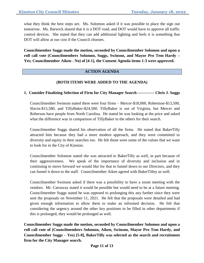what they think the best steps are. Ms. Solomon asked if it was possible to place the sign out tomorrow. Ms. Barwick shared that it is a DOT road, and DOT would have to approve all traffic control devices. She stated that they can add additional lighting and feels it is something that DOT will allow at our cost if the Council chooses.

**Councilmember Suggs made the motion, seconded by Councilmember Solomon and upon a roll call vote (Councilmembers Solomon, Suggs, Swinson, and Mayor Pro Tem Hardy – Yes; Councilmember Aiken - No) of [4-1], the Consent Agenda items 1-3 were approved.**

#### **ACTION AGENDA**

## **(BOTH ITEMS WERE ADDED TO THE AGENDA)**

#### **1. Consider Finalizing Selection of Firm for City Manager Search ------------- Chris J. Suggs**

Councilmember Swinson stated there were four firms – Mercer-\$18,000, Robertson-\$13,500, Slavin-\$15,580, and TillyBaker-\$24,500. TillyBaker is out of Virginia, but Mercer and Roberson have people from North Carolina. He stated he was looking at the price and asked what the difference was in comparison of TillyBaker to the others for their search.

Councilmember Suggs shared his observation of all the firms. He stated that BakerTilly attracted him because they had a more modern approach, and they were committed to diversity and equity in their searches too. He felt those were some of the values that we want to look for in the City of Kinston.

Councilmember Solomon stated she was attracted to BakerTilly as well, in part because of their aggressiveness. We speak of the importance of diversity and inclusion and in continuing to move forward we would like for that to funnel down to our Directors, and they can funnel it down to the staff. Councilmember Aiken agreed with BakerTilley as well.

Councilmember Swinson asked if there was a possibility to have a zoom meeting with the vendors. Mr. Carraway stated it would be possible but would need to be at a future meeting. Councilmember Suggs stated he was opposed to prolonging this any further since they were sent the proposals on November 11, 2021. He felt that the proposals were detailed and had given enough information to allow them to make an informed decision. He felt that considering the urgency around the other key positions to be filled in other departments if this is prolonged, they would be prolonged as well.

**Councilmember Suggs made the motion, seconded by Councilmember Solomon and upon a roll call vote of (Councilmembers Solomon, Aiken, Swinson, Mayor Pro Tem Hardy, and Councilmember Suggs – Yes) [5-0], BakerTilly was selected as the search and recruitment firm for the City Manager search.**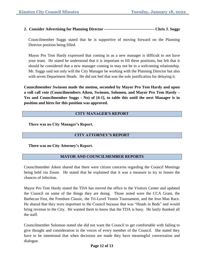**2. Consider Advertising for Planning Director -------------------------------------- Chris J. Suggs**

Councilmember Suggs stated that he is supportive of moving forward on the Planning Director position being filled.

Mayor Pro Tem Hardy expressed that coming in as a new manager is difficult to not have your team. He stated he understood that it is important to fill these positions, but felt that it should be considered that a new manager coming in may not be in a welcoming relationship. Mr. Suggs said not only will the City Manager be working with the Planning Director but also with seven Department Heads. He did not feel that was the sole justification for delaying it.

**Councilmember Swinson made the motion, seconded by Mayor Pro Tem Hardy and upon a roll call vote (Councilmembers Aiken, Swinson, Solomon, and Mayor Pro Tem Hardy – Yes and Councilmember Suggs - No) of [4-1], to table this until the next Manager is in position and hires for this position was approved.**

### **CITY MANAGER'S REPORT**

**There was no City Manager's Report.**

#### **CITY ATTORNEY'S REPORT**

**There was no City Attorney's Report.**

#### **MAYOR AND COUNCILMEMBER REPORTS**

Councilmember Aiken shared that there were citizen concerns regarding the Council Meetings being held via Zoom. He stated that he explained that it was a measure to try to lessen the chances of infection.

Mayor Pro Tem Hardy stated the TDA has moved the office to the Visitors Center and updated the Council on some of the things they are doing. Those noted were the CCA Grant, the Barbecue Fest, the Freedom Classic, the Tri-Level Tennis Tournament, and the Iron Man Race. He shared that they were important to the Council because that was "Heads in Beds" and would bring revenue to the City. He wanted them to know that the TDA is busy. He lastly thanked all the staff.

Councilmember Solomon stated she did not want the Council to get comfortable with failing to give thought and consideration to the voices of every member of the Council. She stated they have to be intentional that when decisions are made they have meaningful conversation and dialogue.